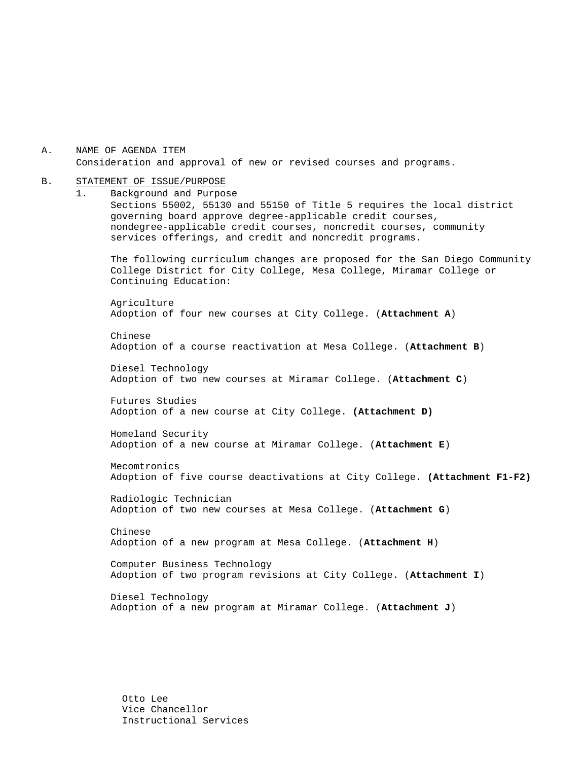A. NAME OF AGENDA ITEM Consideration and approval of new or revised courses and programs.

#### B. STATEMENT OF ISSUE/PURPOSE

1. Background and Purpose Sections 55002, 55130 and 55150 of Title 5 requires the local district governing board approve degree-applicable credit courses, nondegree-applicable credit courses, noncredit courses, community services offerings, and credit and noncredit programs. The following curriculum changes are proposed for the San Diego Community College District for City College, Mesa College, Miramar College or Continuing Education: Agriculture Adoption of four new courses at City College. (**Attachment A**) Chinese Adoption of a course reactivation at Mesa College. (**Attachment B**) Diesel Technology Adoption of two new courses at Miramar College. (**Attachment C**) Futures Studies Adoption of a new course at City College. **(Attachment D)**  Homeland Security Adoption of a new course at Miramar College. (**Attachment E**) Mecomtronics Adoption of five course deactivations at City College. **(Attachment F1-F2)** Radiologic Technician Adoption of two new courses at Mesa College. (**Attachment G**) Chinese Adoption of a new program at Mesa College. (**Attachment H**) Computer Business Technology Adoption of two program revisions at City College. (**Attachment I**) Diesel Technology Adoption of a new program at Miramar College. (**Attachment J**)

Otto Lee Vice Chancellor Instructional Services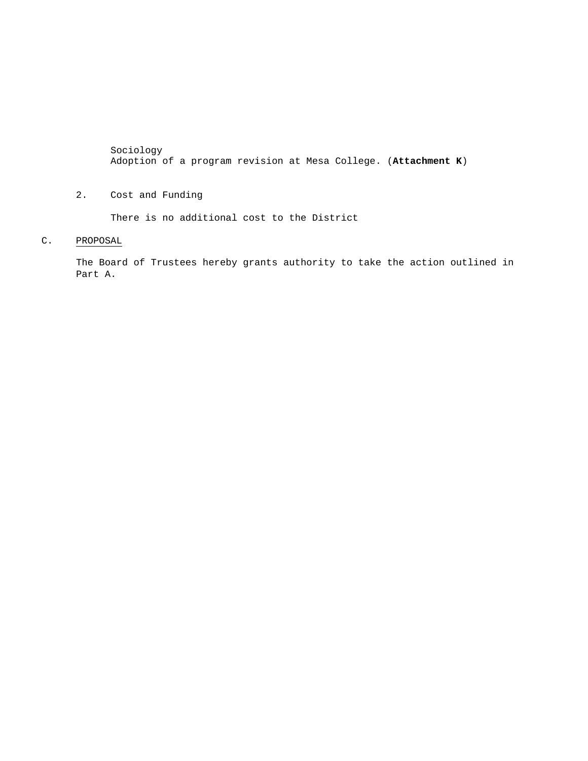Sociology Adoption of a program revision at Mesa College. (**Attachment K**)

2. Cost and Funding

There is no additional cost to the District

C. PROPOSAL

The Board of Trustees hereby grants authority to take the action outlined in Part A.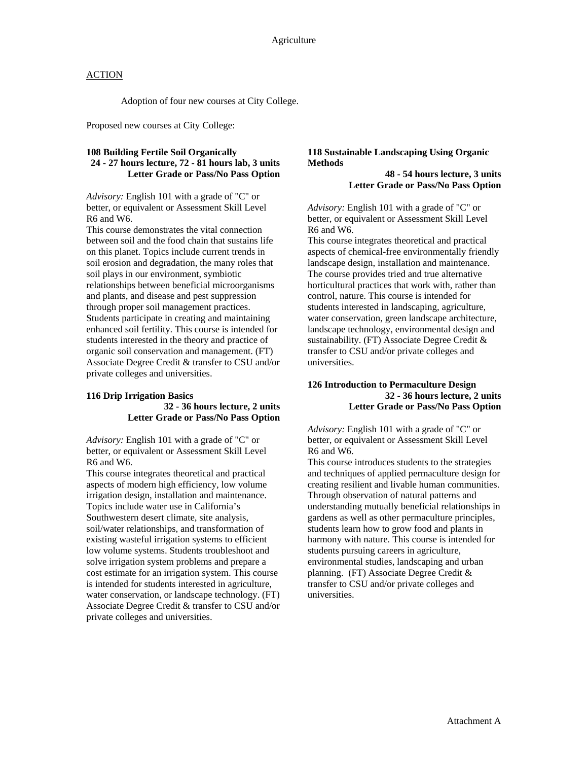Adoption of four new courses at City College.

Proposed new courses at City College:

#### **108 Building Fertile Soil Organically 24 - 27 hours lecture, 72 - 81 hours lab, 3 units Letter Grade or Pass/No Pass Option**

*Advisory:* English 101 with a grade of "C" or better, or equivalent or Assessment Skill Level R6 and W6.

This course demonstrates the vital connection between soil and the food chain that sustains life on this planet. Topics include current trends in soil erosion and degradation, the many roles that soil plays in our environment, symbiotic relationships between beneficial microorganisms and plants, and disease and pest suppression through proper soil management practices. Students participate in creating and maintaining enhanced soil fertility. This course is intended for students interested in the theory and practice of organic soil conservation and management. (FT) Associate Degree Credit & transfer to CSU and/or private colleges and universities.

#### **116 Drip Irrigation Basics 32 - 36 hours lecture, 2 units Letter Grade or Pass/No Pass Option**

*Advisory:* English 101 with a grade of "C" or better, or equivalent or Assessment Skill Level R6 and W6.

This course integrates theoretical and practical aspects of modern high efficiency, low volume irrigation design, installation and maintenance. Topics include water use in California's Southwestern desert climate, site analysis, soil/water relationships, and transformation of existing wasteful irrigation systems to efficient low volume systems. Students troubleshoot and solve irrigation system problems and prepare a cost estimate for an irrigation system. This course is intended for students interested in agriculture, water conservation, or landscape technology. (FT) Associate Degree Credit & transfer to CSU and/or private colleges and universities.

#### **118 Sustainable Landscaping Using Organic Methods**

**48 - 54 hours lecture, 3 units Letter Grade or Pass/No Pass Option** 

*Advisory:* English 101 with a grade of "C" or better, or equivalent or Assessment Skill Level R6 and W6.

This course integrates theoretical and practical aspects of chemical-free environmentally friendly landscape design, installation and maintenance. The course provides tried and true alternative horticultural practices that work with, rather than control, nature. This course is intended for students interested in landscaping, agriculture, water conservation, green landscape architecture, landscape technology, environmental design and sustainability. (FT) Associate Degree Credit & transfer to CSU and/or private colleges and universities.

#### **126 Introduction to Permaculture Design 32 - 36 hours lecture, 2 units Letter Grade or Pass/No Pass Option**

*Advisory:* English 101 with a grade of "C" or better, or equivalent or Assessment Skill Level R6 and W6.

This course introduces students to the strategies and techniques of applied permaculture design for creating resilient and livable human communities. Through observation of natural patterns and understanding mutually beneficial relationships in gardens as well as other permaculture principles, students learn how to grow food and plants in harmony with nature. This course is intended for students pursuing careers in agriculture, environmental studies, landscaping and urban planning. (FT) Associate Degree Credit & transfer to CSU and/or private colleges and universities.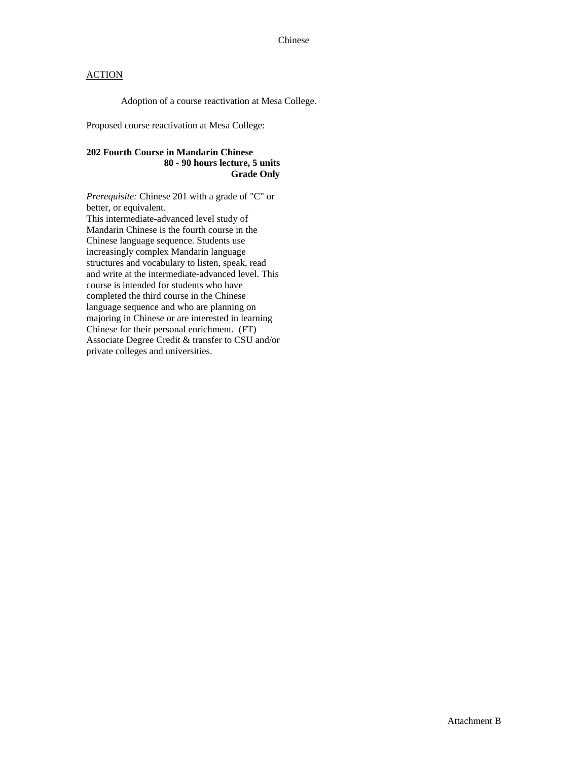Adoption of a course reactivation at Mesa College.

Proposed course reactivation at Mesa College:

### **202 Fourth Course in Mandarin Chinese 80 - 90 hours lecture, 5 units Grade Only**

*Prerequisite:* Chinese 201 with a grade of "C" or better, or equivalent.

This intermediate-advanced level study of Mandarin Chinese is the fourth course in the Chinese language sequence. Students use increasingly complex Mandarin language structures and vocabulary to listen, speak, read and write at the intermediate-advanced level. This course is intended for students who have completed the third course in the Chinese language sequence and who are planning on majoring in Chinese or are interested in learning Chinese for their personal enrichment. (FT) Associate Degree Credit & transfer to CSU and/or private colleges and universities.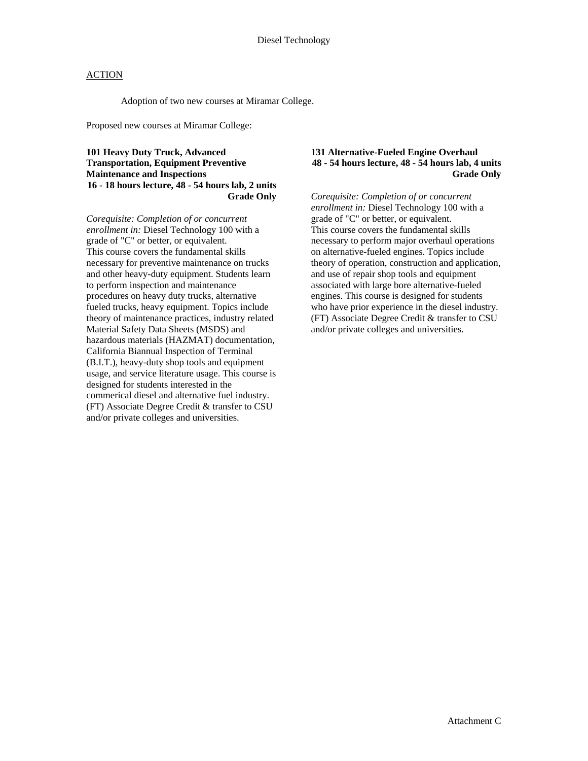Adoption of two new courses at Miramar College.

Proposed new courses at Miramar College:

#### **101 Heavy Duty Truck, Advanced Transportation, Equipment Preventive Maintenance and Inspections 16 - 18 hours lecture, 48 - 54 hours lab, 2 units Grade Only**

*Corequisite: Completion of or concurrent enrollment in:* Diesel Technology 100 with a grade of "C" or better, or equivalent. This course covers the fundamental skills necessary for preventive maintenance on trucks and other heavy-duty equipment. Students learn to perform inspection and maintenance procedures on heavy duty trucks, alternative fueled trucks, heavy equipment. Topics include theory of maintenance practices, industry related Material Safety Data Sheets (MSDS) and hazardous materials (HAZMAT) documentation, California Biannual Inspection of Terminal (B.I.T.), heavy-duty shop tools and equipment usage, and service literature usage. This course is designed for students interested in the commerical diesel and alternative fuel industry. (FT) Associate Degree Credit & transfer to CSU and/or private colleges and universities.

#### **131 Alternative-Fueled Engine Overhaul 48 - 54 hours lecture, 48 - 54 hours lab, 4 units Grade Only**

*Corequisite: Completion of or concurrent enrollment in:* Diesel Technology 100 with a grade of "C" or better, or equivalent. This course covers the fundamental skills necessary to perform major overhaul operations on alternative-fueled engines. Topics include theory of operation, construction and application, and use of repair shop tools and equipment associated with large bore alternative-fueled engines. This course is designed for students who have prior experience in the diesel industry. (FT) Associate Degree Credit & transfer to CSU and/or private colleges and universities.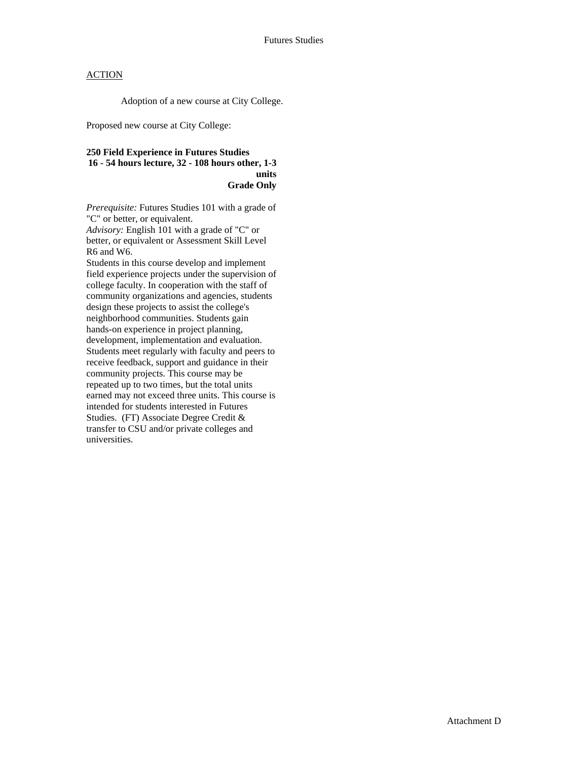Adoption of a new course at City College.

Proposed new course at City College:

#### **250 Field Experience in Futures Studies 16 - 54 hours lecture, 32 - 108 hours other, 1-3 units Grade Only**

*Prerequisite:* Futures Studies 101 with a grade of "C" or better, or equivalent.

*Advisory:* English 101 with a grade of "C" or better, or equivalent or Assessment Skill Level R6 and W6.

Students in this course develop and implement field experience projects under the supervision of college faculty. In cooperation with the staff of community organizations and agencies, students design these projects to assist the college's neighborhood communities. Students gain hands-on experience in project planning, development, implementation and evaluation. Students meet regularly with faculty and peers to receive feedback, support and guidance in their community projects. This course may be repeated up to two times, but the total units earned may not exceed three units. This course is intended for students interested in Futures Studies. (FT) Associate Degree Credit & transfer to CSU and/or private colleges and universities.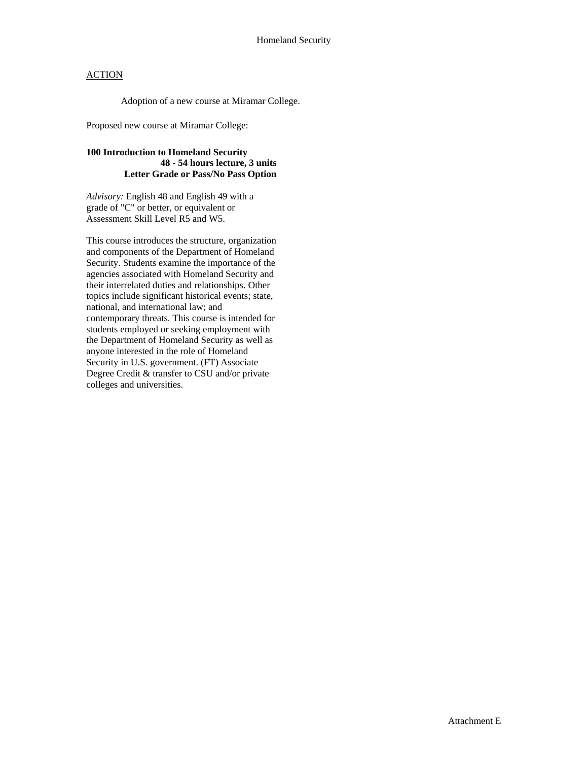Adoption of a new course at Miramar College.

Proposed new course at Miramar College:

### **100 Introduction to Homeland Security 48 - 54 hours lecture, 3 units Letter Grade or Pass/No Pass Option**

*Advisory:* English 48 and English 49 with a grade of "C" or better, or equivalent or Assessment Skill Level R5 and W5.

This course introduces the structure, organization and components of the Department of Homeland Security. Students examine the importance of the agencies associated with Homeland Security and their interrelated duties and relationships. Other topics include significant historical events; state, national, and international law; and contemporary threats. This course is intended for students employed or seeking employment with the Department of Homeland Security as well as anyone interested in the role of Homeland Security in U.S. government. (FT) Associate Degree Credit & transfer to CSU and/or private colleges and universities.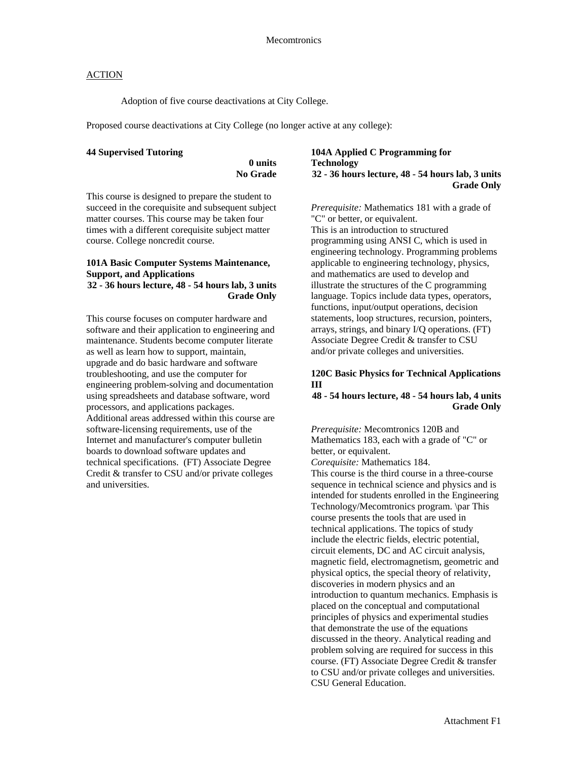Adoption of five course deactivations at City College.

Proposed course deactivations at City College (no longer active at any college):

#### **44 Supervised Tutoring**

**0 units No Grade** 

**Grade Only** 

This course is designed to prepare the student to succeed in the corequisite and subsequent subject matter courses. This course may be taken four times with a different corequisite subject matter course. College noncredit course.

#### **101A Basic Computer Systems Maintenance, Support, and Applications 32 - 36 hours lecture, 48 - 54 hours lab, 3 units**

This course focuses on computer hardware and software and their application to engineering and maintenance. Students become computer literate as well as learn how to support, maintain, upgrade and do basic hardware and software troubleshooting, and use the computer for engineering problem-solving and documentation using spreadsheets and database software, word processors, and applications packages. Additional areas addressed within this course are software-licensing requirements, use of the Internet and manufacturer's computer bulletin boards to download software updates and technical specifications. (FT) Associate Degree Credit & transfer to CSU and/or private colleges and universities.

#### **104A Applied C Programming for Technology 32 - 36 hours lecture, 48 - 54 hours lab, 3 units Grade Only**

*Prerequisite:* Mathematics 181 with a grade of "C" or better, or equivalent. This is an introduction to structured programming using ANSI C, which is used in engineering technology. Programming problems applicable to engineering technology, physics, and mathematics are used to develop and illustrate the structures of the C programming language. Topics include data types, operators, functions, input/output operations, decision statements, loop structures, recursion, pointers, arrays, strings, and binary I/Q operations. (FT) Associate Degree Credit & transfer to CSU and/or private colleges and universities.

#### **120C Basic Physics for Technical Applications III**

**48 - 54 hours lecture, 48 - 54 hours lab, 4 units Grade Only** 

*Prerequisite:* Mecomtronics 120B and Mathematics 183, each with a grade of "C" or better, or equivalent.

*Corequisite:* Mathematics 184.

This course is the third course in a three-course sequence in technical science and physics and is intended for students enrolled in the Engineering Technology/Mecomtronics program. \par This course presents the tools that are used in technical applications. The topics of study include the electric fields, electric potential, circuit elements, DC and AC circuit analysis, magnetic field, electromagnetism, geometric and physical optics, the special theory of relativity, discoveries in modern physics and an introduction to quantum mechanics. Emphasis is placed on the conceptual and computational principles of physics and experimental studies that demonstrate the use of the equations discussed in the theory. Analytical reading and problem solving are required for success in this course. (FT) Associate Degree Credit & transfer to CSU and/or private colleges and universities. CSU General Education.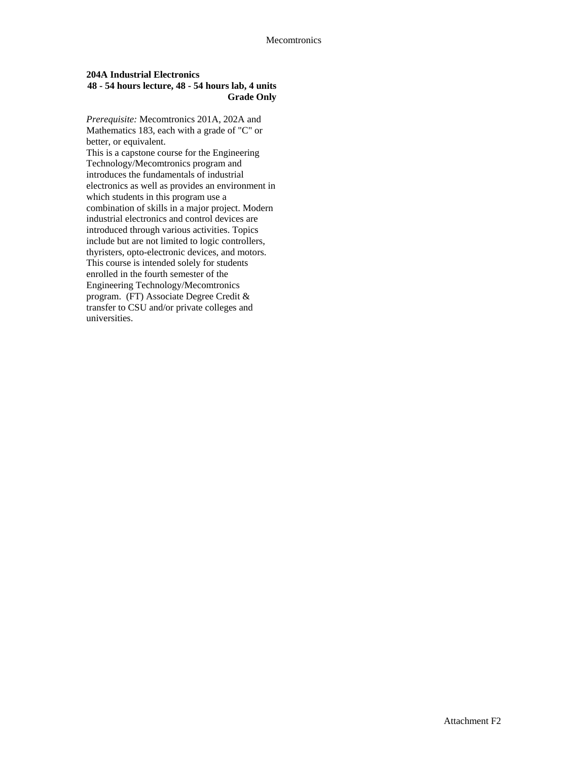### **204A Industrial Electronics 48 - 54 hours lecture, 48 - 54 hours lab, 4 units Grade Only**

*Prerequisite:* Mecomtronics 201A, 202A and Mathematics 183, each with a grade of "C" or better, or equivalent.

This is a capstone course for the Engineering Technology/Mecomtronics program and introduces the fundamentals of industrial electronics as well as provides an environment in which students in this program use a combination of skills in a major project. Modern industrial electronics and control devices are introduced through various activities. Topics include but are not limited to logic controllers, thyristers, opto-electronic devices, and motors. This course is intended solely for students enrolled in the fourth semester of the Engineering Technology/Mecomtronics program. (FT) Associate Degree Credit & transfer to CSU and/or private colleges and universities.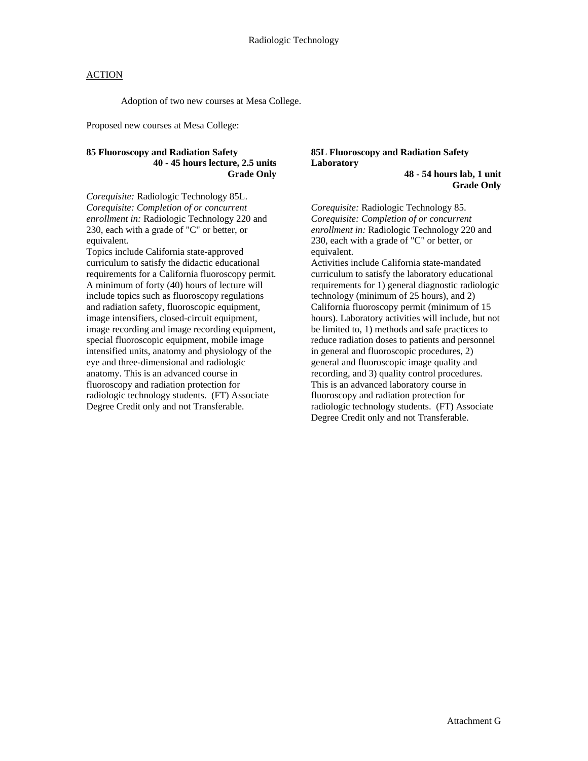Adoption of two new courses at Mesa College.

Proposed new courses at Mesa College:

### **85 Fluoroscopy and Radiation Safety 40 - 45 hours lecture, 2.5 units Grade Only**

*Corequisite:* Radiologic Technology 85L. *Corequisite: Completion of or concurrent enrollment in:* Radiologic Technology 220 and 230, each with a grade of "C" or better, or equivalent.

Topics include California state-approved curriculum to satisfy the didactic educational requirements for a California fluoroscopy permit. A minimum of forty (40) hours of lecture will include topics such as fluoroscopy regulations and radiation safety, fluoroscopic equipment, image intensifiers, closed-circuit equipment, image recording and image recording equipment, special fluoroscopic equipment, mobile image intensified units, anatomy and physiology of the eye and three-dimensional and radiologic anatomy. This is an advanced course in fluoroscopy and radiation protection for radiologic technology students. (FT) Associate Degree Credit only and not Transferable.

#### **85L Fluoroscopy and Radiation Safety Laboratory**

**48 - 54 hours lab, 1 unit Grade Only** 

*Corequisite:* Radiologic Technology 85. *Corequisite: Completion of or concurrent enrollment in:* Radiologic Technology 220 and 230, each with a grade of "C" or better, or equivalent.

Activities include California state-mandated curriculum to satisfy the laboratory educational requirements for 1) general diagnostic radiologic technology (minimum of 25 hours), and 2) California fluoroscopy permit (minimum of 15 hours). Laboratory activities will include, but not be limited to, 1) methods and safe practices to reduce radiation doses to patients and personnel in general and fluoroscopic procedures, 2) general and fluoroscopic image quality and recording, and 3) quality control procedures. This is an advanced laboratory course in fluoroscopy and radiation protection for radiologic technology students. (FT) Associate Degree Credit only and not Transferable.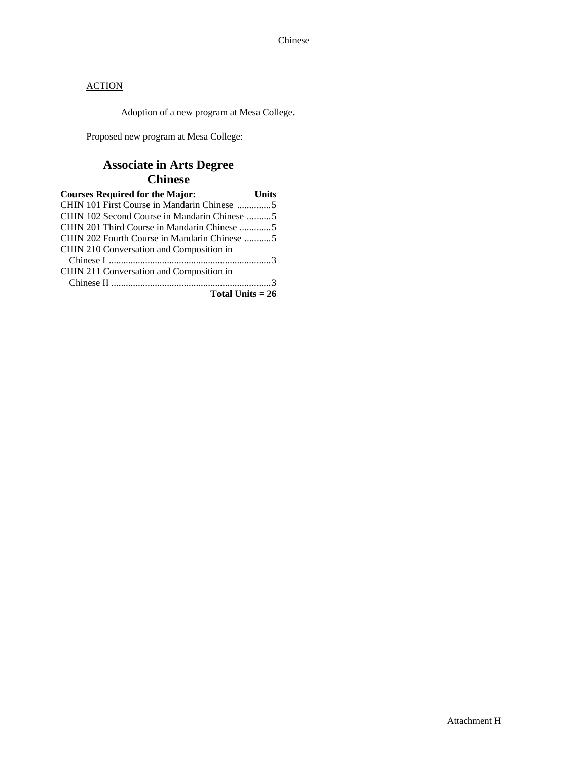Adoption of a new program at Mesa College.

Proposed new program at Mesa College:

# **Associate in Arts Degree Chinese**

| <b>Courses Required for the Major:</b>       | <b>Units</b> |
|----------------------------------------------|--------------|
| CHIN 101 First Course in Mandarin Chinese 5  |              |
| CHIN 102 Second Course in Mandarin Chinese 5 |              |
| CHIN 201 Third Course in Mandarin Chinese 5  |              |
| CHIN 202 Fourth Course in Mandarin Chinese 5 |              |
| CHIN 210 Conversation and Composition in     |              |
|                                              |              |
| CHIN 211 Conversation and Composition in     |              |
|                                              |              |
| Total Units $= 26$                           |              |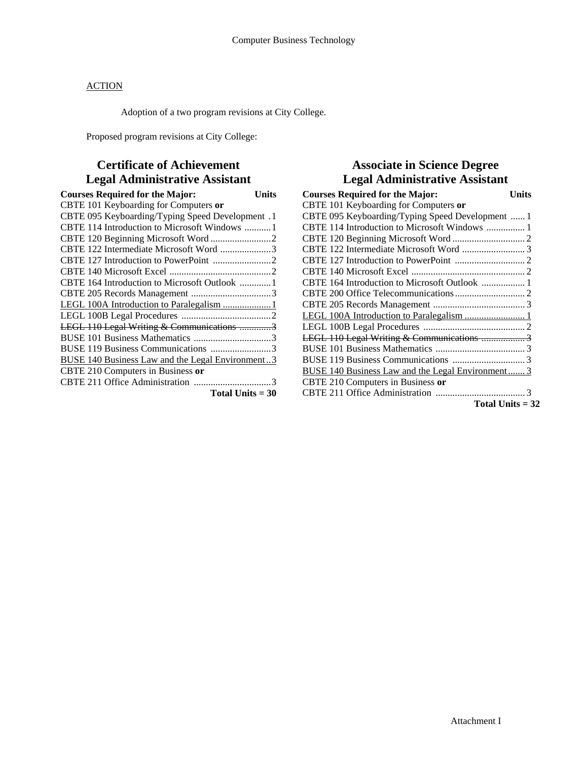Adoption of a two program revisions at City College.

Proposed program revisions at City College:

# **Certificate of Achievement Legal Administrative Assistant**

| <b>Courses Required for the Major:</b>                  | Units |
|---------------------------------------------------------|-------|
| CBTE 101 Keyboarding for Computers or                   |       |
| CBTE 095 Keyboarding/Typing Speed Development. 1        |       |
| CBTE 114 Introduction to Microsoft Windows 1            |       |
|                                                         |       |
| CBTE 122 Intermediate Microsoft Word 3                  |       |
|                                                         |       |
|                                                         |       |
|                                                         |       |
|                                                         |       |
| LEGL 100A Introduction to Paralegalism 1                |       |
|                                                         |       |
| LEGL 110 Legal Writing & Communications 3               |       |
|                                                         |       |
| BUSE 119 Business Communications 3                      |       |
| <b>BUSE 140 Business Law and the Legal Environment3</b> |       |
| CBTE 210 Computers in Business or                       |       |
|                                                         |       |
| Total Units $=$ 30                                      |       |

# **Associate in Science Degree Legal Administrative Assistant**

| <b>Courses Required for the Major:</b>            | ∐nits |
|---------------------------------------------------|-------|
| CBTE 101 Keyboarding for Computers or             |       |
| CBTE 095 Keyboarding/Typing Speed Development  1  |       |
|                                                   |       |
|                                                   |       |
|                                                   |       |
|                                                   |       |
|                                                   |       |
|                                                   |       |
|                                                   |       |
|                                                   |       |
|                                                   |       |
|                                                   |       |
| LEGL 110 Legal Writing & Communications 3         |       |
|                                                   |       |
|                                                   |       |
| BUSE 140 Business Law and the Legal Environment 3 |       |
| CBTE 210 Computers in Business or                 |       |
|                                                   |       |
| Total Units $= 32$                                |       |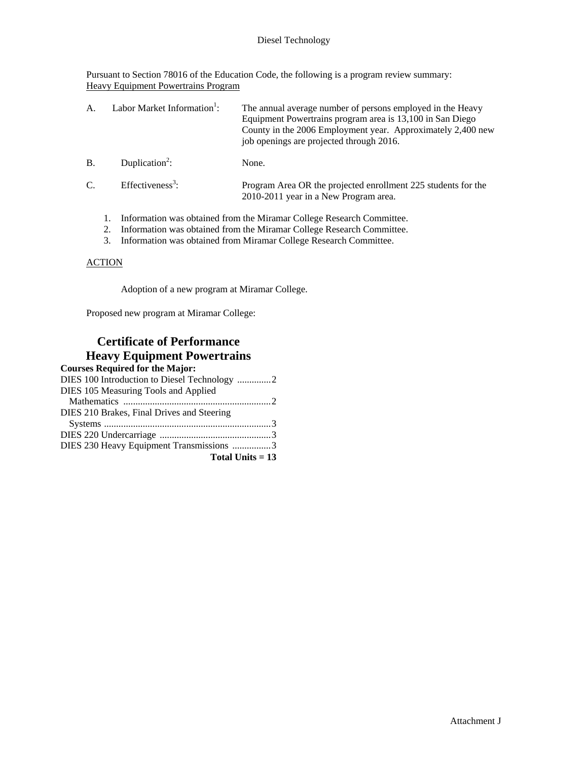### Diesel Technology

Pursuant to Section 78016 of the Education Code, the following is a program review summary: Heavy Equipment Powertrains Program

| $\mathsf{A}$ .                                                        |  | Labor Market Information <sup>1</sup> : | The annual average number of persons employed in the Heavy<br>Equipment Powertrains program area is 13,100 in San Diego<br>County in the 2006 Employment year. Approximately 2,400 new<br>job openings are projected through 2016. |
|-----------------------------------------------------------------------|--|-----------------------------------------|------------------------------------------------------------------------------------------------------------------------------------------------------------------------------------------------------------------------------------|
| <b>B</b> .                                                            |  | Duplication <sup>2</sup> :              | None.                                                                                                                                                                                                                              |
| C.                                                                    |  | Effectiveness <sup>3</sup> :            | Program Area OR the projected enrollment 225 students for the<br>2010-2011 year in a New Program area.                                                                                                                             |
| Information was obtained from the Miramar College Research Committee. |  |                                         |                                                                                                                                                                                                                                    |

- 2. Information was obtained from the Miramar College Research Committee.
- 3. Information was obtained from Miramar College Research Committee.

### **ACTION**

Adoption of a new program at Miramar College.

Proposed new program at Miramar College:

## **Certificate of Performance Heavy Equipment Powertrains**

| <b>Courses Required for the Major:</b>       |
|----------------------------------------------|
| DIES 100 Introduction to Diesel Technology 2 |
| DIES 105 Measuring Tools and Applied         |
|                                              |
| DIES 210 Brakes, Final Drives and Steering   |
|                                              |
|                                              |
| DIES 230 Heavy Equipment Transmissions 3     |
| Total Units $= 13$                           |